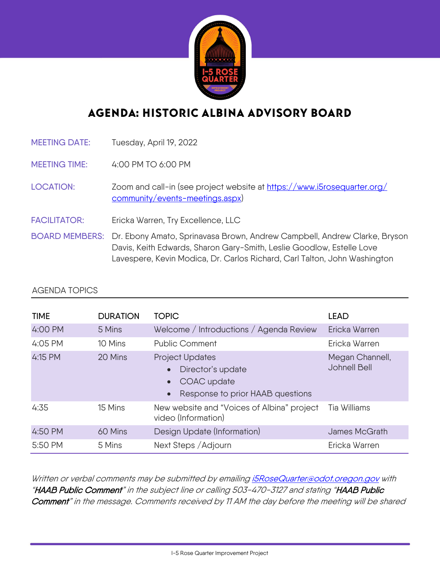

## AGENDA: HISTORIC ALBINA ADVISORY BOARD

MEETING DATE: Tuesday, April 19, 2022

MEETING TIME: 4:00 PM TO 6:00 PM

- LOCATION: Zoom and call-in (see project website at [https://www.i5rosequarter.org/](https://www.i5rosequarter.org/community/events-meetings.aspx)  [community/events-meetings.aspx\)](https://www.i5rosequarter.org/community/events-meetings.aspx)
- FACILITATOR: Ericka Warren, Try Excellence, LLC
- BOARD MEMBERS: Dr. Ebony Amato, Sprinavasa Brown, Andrew Campbell, Andrew Clarke, Bryson Davis, Keith Edwards, Sharon Gary-Smith, Leslie Goodlow, Estelle Love Lavespere, Kevin Modica, Dr. Carlos Richard, Carl Talton, John Washington

## AGENDA TOPICS

| <b>TIME</b> | <b>DURATION</b> | <b>TOPIC</b>                                                                            | <b>LEAD</b>                     |
|-------------|-----------------|-----------------------------------------------------------------------------------------|---------------------------------|
| 4:00 PM     | 5 Mins          | Welcome / Introductions / Agenda Review                                                 | Ericka Warren                   |
| 4:05 PM     | 10 Mins         | <b>Public Comment</b>                                                                   | Ericka Warren                   |
| 4:15 PM     | 20 Mins         | Project Updates<br>Director's update<br>COAC update<br>Response to prior HAAB questions | Megan Channell,<br>Johnell Bell |
| 4:35        | 15 Mins         | New website and "Voices of Albina" project<br>video (Information)                       | Tia Williams                    |
| 4:50 PM     | 60 Mins         | Design Update (Information)                                                             | James McGrath                   |
| 5:50 PM     | 5 Mins          | Next Steps / Adjourn                                                                    | Ericka Warren                   |

Written or verbal comments may be submitted by emailin[g i5RoseQuarter@odot.oregon.gov](mailto:i5RoseQuarter@odot.oregon.gov) with "HAAB Public Comment" in the subject line or calling 503-470-3127 and stating "HAAB Public Comment" in the message. Comments received by 11 AM the day before the meeting will be shared